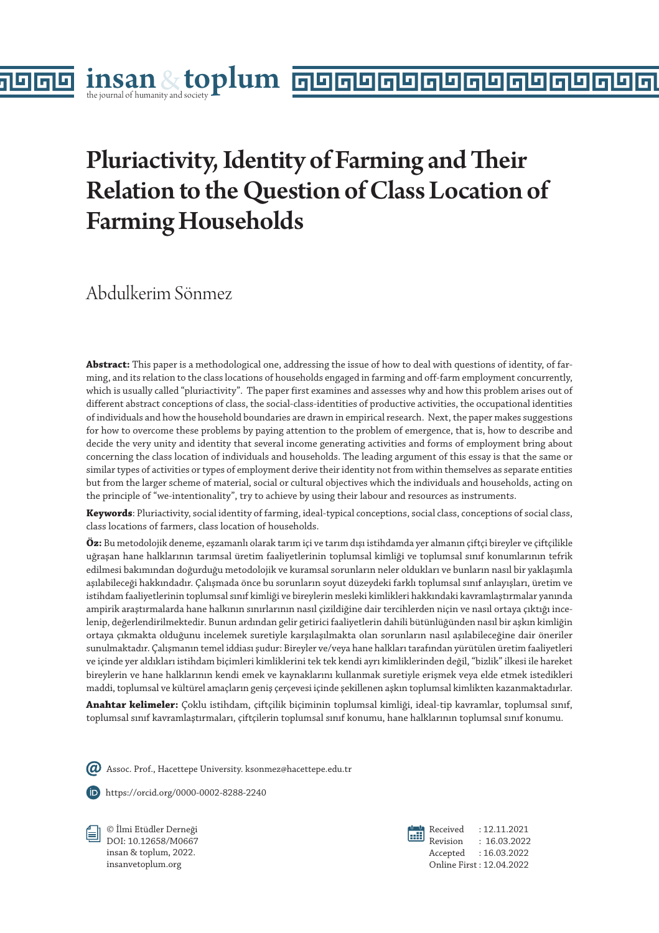# Pluriactivity, Identity of Farming and Their Relation to the Question of Class Location of Farming Households

Abdulkerim Sönmez

la

**Abstract:** This paper is a methodological one, addressing the issue of how to deal with questions of identity, of farming, and its relation to the class locations of households engaged in farming and off-farm employment concurrently, which is usually called "pluriactivity". The paper first examines and assesses why and how this problem arises out of different abstract conceptions of class, the social-class-identities of productive activities, the occupational identities of individuals and how the household boundaries are drawn in empirical research. Next, the paper makes suggestions for how to overcome these problems by paying attention to the problem of emergence, that is, how to describe and decide the very unity and identity that several income generating activities and forms of employment bring about concerning the class location of individuals and households. The leading argument of this essay is that the same or similar types of activities or types of employment derive their identity not from within themselves as separate entities but from the larger scheme of material, social or cultural objectives which the individuals and households, acting on the principle of "we-intentionality", try to achieve by using their labour and resources as instruments.

**Keywords**: Pluriactivity, social identity of farming, ideal-typical conceptions, social class, conceptions of social class, class locations of farmers, class location of households.

**Öz:** Bu metodolojik deneme, eşzamanlı olarak tarım içi ve tarım dışı istihdamda yer almanın çiftçi bireyler ve çiftçilikle uğraşan hane halklarının tarımsal üretim faaliyetlerinin toplumsal kimliği ve toplumsal sınıf konumlarının tefrik edilmesi bakımından doğurduğu metodolojik ve kuramsal sorunların neler oldukları ve bunların nasıl bir yaklaşımla aşılabileceği hakkındadır. Çalışmada önce bu sorunların soyut düzeydeki farklı toplumsal sınıf anlayışları, üretim ve istihdam faaliyetlerinin toplumsal sınıf kimliği ve bireylerin mesleki kimlikleri hakkındaki kavramlaştırmalar yanında ampirik araştırmalarda hane halkının sınırlarının nasıl çizildiğine dair tercihlerden niçin ve nasıl ortaya çıktığı incelenip, değerlendirilmektedir. Bunun ardından gelir getirici faaliyetlerin dahili bütünlüğünden nasıl bir aşkın kimliğin ortaya çıkmakta olduğunu incelemek suretiyle karşılaşılmakta olan sorunların nasıl aşılabileceğine dair öneriler sunulmaktadır. Çalışmanın temel iddiası şudur: Bireyler ve/veya hane halkları tarafından yürütülen üretim faaliyetleri ve içinde yer aldıkları istihdam biçimleri kimliklerini tek tek kendi ayrı kimliklerinden değil, "bizlik" ilkesi ile hareket bireylerin ve hane halklarının kendi emek ve kaynaklarını kullanmak suretiyle erişmek veya elde etmek istedikleri maddi, toplumsal ve kültürel amaçların geniş çerçevesi içinde şekillenen aşkın toplumsal kimlikten kazanmaktadırlar.

**Anahtar kelimeler:** Çoklu istihdam, çiftçilik biçiminin toplumsal kimliği, ideal-tip kavramlar, toplumsal sınıf, toplumsal sınıf kavramlaştırmaları, çiftçilerin toplumsal sınıf konumu, hane halklarının toplumsal sınıf konumu.

Assoc. Prof., Hacettepe University. ksonmez@hacettepe.edu.tr

https://orcid.org/0000-0002-8288-2240

© İlmi Etüdler Derneği DOI: 10.12658/M0667 insan & toplum, 2022. insanvetoplum.org



Received : 12.11.2021 Revision : 16.03.2022 Accepted : 16.03.2022 Online First : 12.04.2022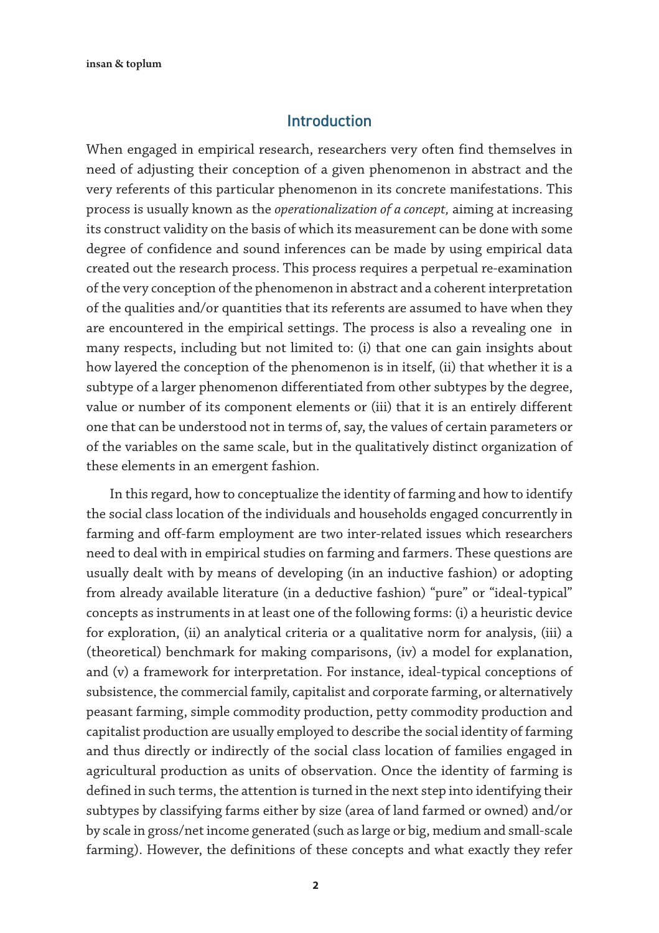#### Introduction

When engaged in empirical research, researchers very often find themselves in need of adjusting their conception of a given phenomenon in abstract and the very referents of this particular phenomenon in its concrete manifestations. This process is usually known as the *operationalization of a concept,* aiming at increasing its construct validity on the basis of which its measurement can be done with some degree of confidence and sound inferences can be made by using empirical data created out the research process. This process requires a perpetual re-examination of the very conception of the phenomenon in abstract and a coherent interpretation of the qualities and/or quantities that its referents are assumed to have when they are encountered in the empirical settings. The process is also a revealing one in many respects, including but not limited to: (i) that one can gain insights about how layered the conception of the phenomenon is in itself, (ii) that whether it is a subtype of a larger phenomenon differentiated from other subtypes by the degree, value or number of its component elements or (iii) that it is an entirely different one that can be understood not in terms of, say, the values of certain parameters or of the variables on the same scale, but in the qualitatively distinct organization of these elements in an emergent fashion.

In this regard, how to conceptualize the identity of farming and how to identify the social class location of the individuals and households engaged concurrently in farming and off-farm employment are two inter-related issues which researchers need to deal with in empirical studies on farming and farmers. These questions are usually dealt with by means of developing (in an inductive fashion) or adopting from already available literature (in a deductive fashion) "pure" or "ideal-typical" concepts as instruments in at least one of the following forms: (i) a heuristic device for exploration, (ii) an analytical criteria or a qualitative norm for analysis, (iii) a (theoretical) benchmark for making comparisons, (iv) a model for explanation, and (v) a framework for interpretation. For instance, ideal-typical conceptions of subsistence, the commercial family, capitalist and corporate farming, or alternatively peasant farming, simple commodity production, petty commodity production and capitalist production are usually employed to describe the social identity of farming and thus directly or indirectly of the social class location of families engaged in agricultural production as units of observation. Once the identity of farming is defined in such terms, the attention is turned in the next step into identifying their subtypes by classifying farms either by size (area of land farmed or owned) and/or by scale in gross/net income generated (such as large or big, medium and small-scale farming). However, the definitions of these concepts and what exactly they refer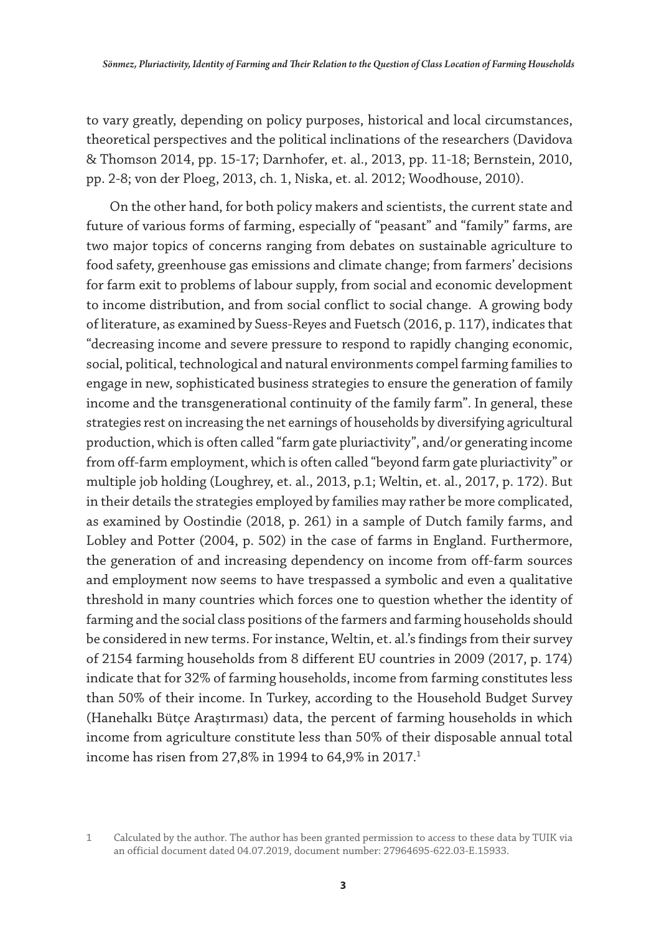to vary greatly, depending on policy purposes, historical and local circumstances, theoretical perspectives and the political inclinations of the researchers (Davidova & Thomson 2014, pp. 15-17; Darnhofer, et. al., 2013, pp. 11-18; Bernstein, 2010, pp. 2-8; von der Ploeg, 2013, ch. 1, Niska, et. al. 2012; Woodhouse, 2010).

On the other hand, for both policy makers and scientists, the current state and future of various forms of farming, especially of "peasant" and "family" farms, are two major topics of concerns ranging from debates on sustainable agriculture to food safety, greenhouse gas emissions and climate change; from farmers' decisions for farm exit to problems of labour supply, from social and economic development to income distribution, and from social conflict to social change. A growing body of literature, as examined by Suess-Reyes and Fuetsch (2016, p. 117), indicates that "decreasing income and severe pressure to respond to rapidly changing economic, social, political, technological and natural environments compel farming families to engage in new, sophisticated business strategies to ensure the generation of family income and the transgenerational continuity of the family farm". In general, these strategies rest on increasing the net earnings of households by diversifying agricultural production, which is often called "farm gate pluriactivity", and/or generating income from off-farm employment, which is often called "beyond farm gate pluriactivity" or multiple job holding (Loughrey, et. al., 2013, p.1; Weltin, et. al., 2017, p. 172). But in their details the strategies employed by families may rather be more complicated, as examined by Oostindie (2018, p. 261) in a sample of Dutch family farms, and Lobley and Potter (2004, p. 502) in the case of farms in England. Furthermore, the generation of and increasing dependency on income from off-farm sources and employment now seems to have trespassed a symbolic and even a qualitative threshold in many countries which forces one to question whether the identity of farming and the social class positions of the farmers and farming households should be considered in new terms. For instance, Weltin, et. al.'s findings from their survey of 2154 farming households from 8 different EU countries in 2009 (2017, p. 174) indicate that for 32% of farming households, income from farming constitutes less than 50% of their income. In Turkey, according to the Household Budget Survey (Hanehalkı Bütçe Araştırması) data, the percent of farming households in which income from agriculture constitute less than 50% of their disposable annual total income has risen from 27,8% in 1994 to 64,9% in 2017.<sup>1</sup>

<sup>1</sup> Calculated by the author. The author has been granted permission to access to these data by TUIK via an official document dated 04.07.2019, document number: 27964695-622.03-E.15933.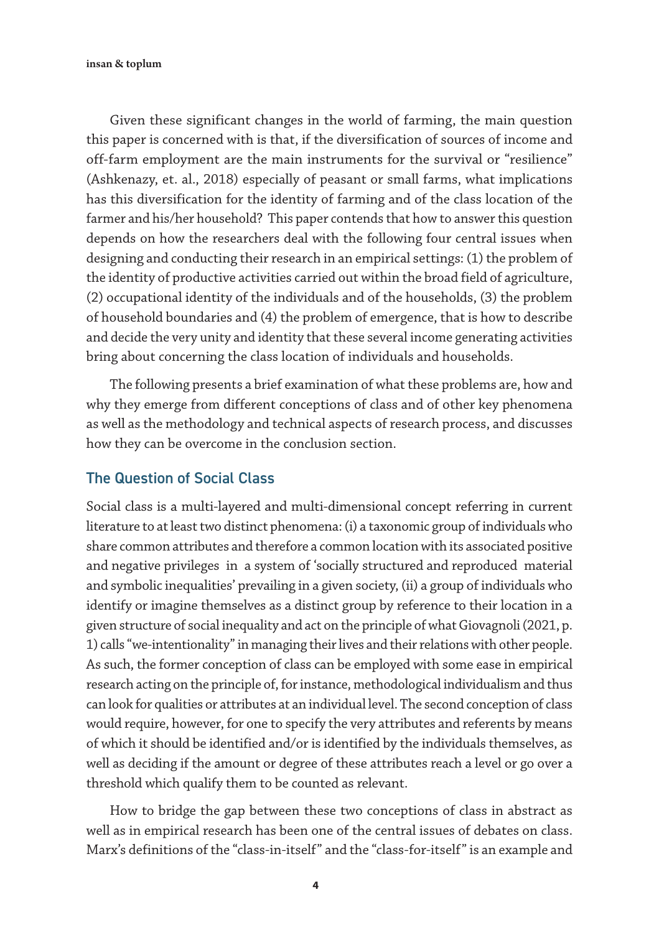Given these significant changes in the world of farming, the main question this paper is concerned with is that, if the diversification of sources of income and off-farm employment are the main instruments for the survival or "resilience" (Ashkenazy, et. al., 2018) especially of peasant or small farms, what implications has this diversification for the identity of farming and of the class location of the farmer and his/her household? This paper contends that how to answer this question depends on how the researchers deal with the following four central issues when designing and conducting their research in an empirical settings: (1) the problem of the identity of productive activities carried out within the broad field of agriculture, (2) occupational identity of the individuals and of the households, (3) the problem of household boundaries and (4) the problem of emergence, that is how to describe and decide the very unity and identity that these several income generating activities bring about concerning the class location of individuals and households.

The following presents a brief examination of what these problems are, how and why they emerge from different conceptions of class and of other key phenomena as well as the methodology and technical aspects of research process, and discusses how they can be overcome in the conclusion section.

#### The Question of Social Class

Social class is a multi-layered and multi-dimensional concept referring in current literature to at least two distinct phenomena: (i) a taxonomic group of individuals who share common attributes and therefore a common location with its associated positive and negative privileges in a system of 'socially structured and reproduced material and symbolic inequalities' prevailing in a given society, (ii) a group of individuals who identify or imagine themselves as a distinct group by reference to their location in a given structure of social inequality and act on the principle of what Giovagnoli (2021, p. 1) calls "we-intentionality" in managing their lives and their relations with other people. As such, the former conception of class can be employed with some ease in empirical research acting on the principle of, for instance, methodological individualism and thus can look for qualities or attributes at an individual level. The second conception of class would require, however, for one to specify the very attributes and referents by means of which it should be identified and/or is identified by the individuals themselves, as well as deciding if the amount or degree of these attributes reach a level or go over a threshold which qualify them to be counted as relevant.

How to bridge the gap between these two conceptions of class in abstract as well as in empirical research has been one of the central issues of debates on class. Marx's definitions of the "class-in-itself" and the "class-for-itself" is an example and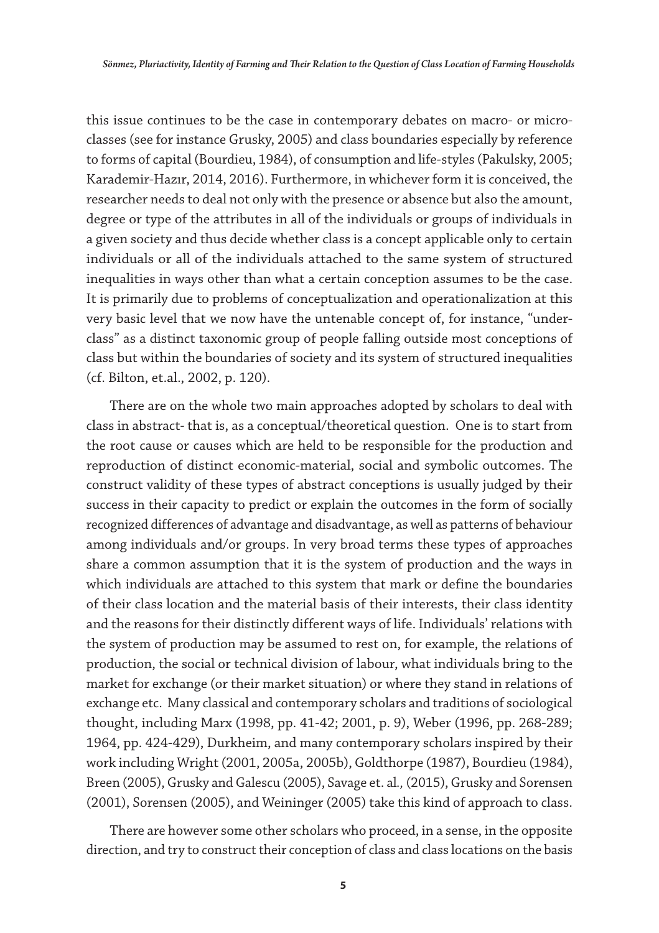this issue continues to be the case in contemporary debates on macro- or microclasses (see for instance Grusky, 2005) and class boundaries especially by reference to forms of capital (Bourdieu, 1984), of consumption and life-styles (Pakulsky, 2005; Karademir-Hazır, 2014, 2016). Furthermore, in whichever form it is conceived, the researcher needs to deal not only with the presence or absence but also the amount, degree or type of the attributes in all of the individuals or groups of individuals in a given society and thus decide whether class is a concept applicable only to certain individuals or all of the individuals attached to the same system of structured inequalities in ways other than what a certain conception assumes to be the case. It is primarily due to problems of conceptualization and operationalization at this very basic level that we now have the untenable concept of, for instance, "underclass" as a distinct taxonomic group of people falling outside most conceptions of class but within the boundaries of society and its system of structured inequalities (cf. Bilton, et.al., 2002, p. 120).

There are on the whole two main approaches adopted by scholars to deal with class in abstract*-* that is, as a conceptual/theoretical question. One is to start from the root cause or causes which are held to be responsible for the production and reproduction of distinct economic-material, social and symbolic outcomes. The construct validity of these types of abstract conceptions is usually judged by their success in their capacity to predict or explain the outcomes in the form of socially recognized differences of advantage and disadvantage, as well as patterns of behaviour among individuals and/or groups. In very broad terms these types of approaches share a common assumption that it is the system of production and the ways in which individuals are attached to this system that mark or define the boundaries of their class location and the material basis of their interests, their class identity and the reasons for their distinctly different ways of life. Individuals' relations with the system of production may be assumed to rest on, for example, the relations of production, the social or technical division of labour, what individuals bring to the market for exchange (or their market situation) or where they stand in relations of exchange etc. Many classical and contemporary scholars and traditions of sociological thought, including Marx (1998, pp. 41-42; 2001, p. 9), Weber (1996, pp. 268-289; 1964, pp. 424-429), Durkheim, and many contemporary scholars inspired by their work including Wright (2001, 2005a, 2005b), Goldthorpe (1987), Bourdieu (1984), Breen (2005), Grusky and Galescu (2005), Savage et. al*.,* (2015), Grusky and Sorensen (2001), Sorensen (2005), and Weininger (2005) take this kind of approach to class.

There are however some other scholars who proceed, in a sense, in the opposite direction, and try to construct their conception of class and class locations on the basis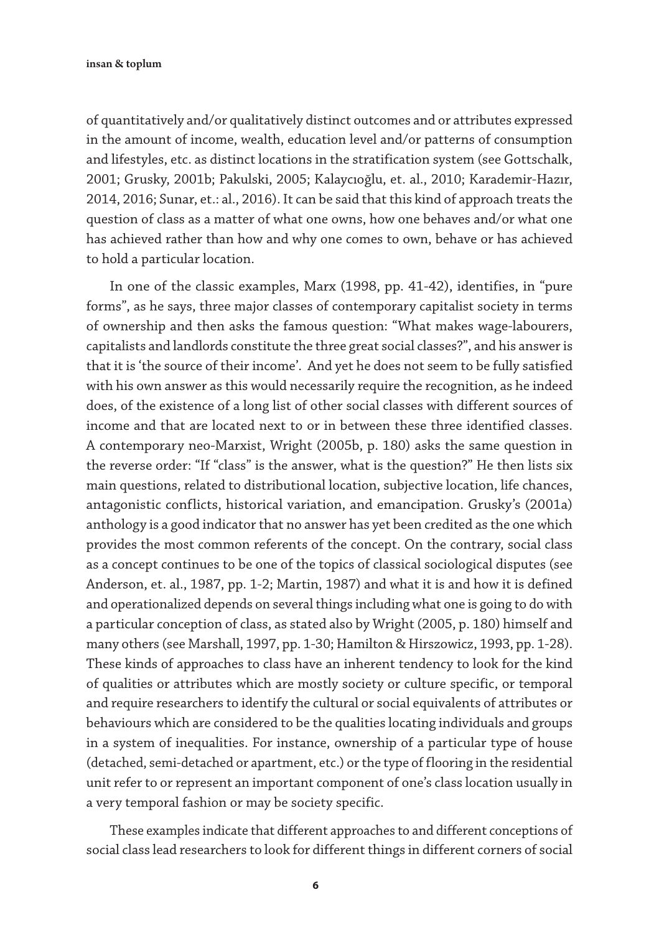of quantitatively and/or qualitatively distinct outcomes and or attributes expressed in the amount of income, wealth, education level and/or patterns of consumption and lifestyles, etc. as distinct locations in the stratification system (see Gottschalk, 2001; Grusky, 2001b; Pakulski, 2005; Kalaycıoğlu, et. al., 2010; Karademir-Hazır, 2014, 2016; Sunar, et.: al., 2016). It can be said that this kind of approach treats the question of class as a matter of what one owns, how one behaves and/or what one has achieved rather than how and why one comes to own, behave or has achieved to hold a particular location.

In one of the classic examples, Marx (1998, pp. 41-42), identifies, in "pure forms", as he says, three major classes of contemporary capitalist society in terms of ownership and then asks the famous question: "What makes wage-labourers, capitalists and landlords constitute the three great social classes?", and his answer is that it is 'the source of their income'. And yet he does not seem to be fully satisfied with his own answer as this would necessarily require the recognition, as he indeed does, of the existence of a long list of other social classes with different sources of income and that are located next to or in between these three identified classes. A contemporary neo-Marxist, Wright (2005b, p. 180) asks the same question in the reverse order: "If "class" is the answer, what is the question?" He then lists six main questions, related to distributional location, subjective location, life chances, antagonistic conflicts, historical variation, and emancipation. Grusky's (2001a) anthology is a good indicator that no answer has yet been credited as the one which provides the most common referents of the concept. On the contrary, social class as a concept continues to be one of the topics of classical sociological disputes (see Anderson, et. al., 1987, pp. 1-2; Martin, 1987) and what it is and how it is defined and operationalized depends on several things including what one is going to do with a particular conception of class, as stated also by Wright (2005, p. 180) himself and many others (see Marshall, 1997, pp. 1-30; Hamilton & Hirszowicz, 1993, pp. 1-28). These kinds of approaches to class have an inherent tendency to look for the kind of qualities or attributes which are mostly society or culture specific, or temporal and require researchers to identify the cultural or social equivalents of attributes or behaviours which are considered to be the qualities locating individuals and groups in a system of inequalities. For instance, ownership of a particular type of house (detached, semi-detached or apartment, etc.) or the type of flooring in the residential unit refer to or represent an important component of one's class location usually in a very temporal fashion or may be society specific.

These examples indicate that different approaches to and different conceptions of social class lead researchers to look for different things in different corners of social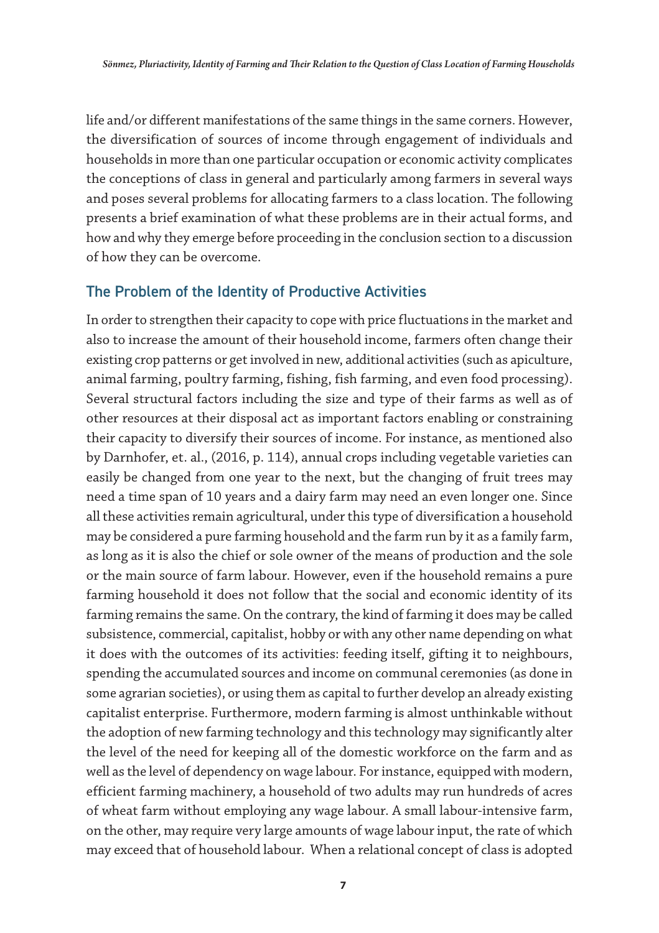life and/or different manifestations of the same things in the same corners. However, the diversification of sources of income through engagement of individuals and households in more than one particular occupation or economic activity complicates the conceptions of class in general and particularly among farmers in several ways and poses several problems for allocating farmers to a class location. The following presents a brief examination of what these problems are in their actual forms, and how and why they emerge before proceeding in the conclusion section to a discussion of how they can be overcome.

# The Problem of the Identity of Productive Activities

In order to strengthen their capacity to cope with price fluctuations in the market and also to increase the amount of their household income, farmers often change their existing crop patterns or get involved in new, additional activities (such as apiculture, animal farming, poultry farming, fishing, fish farming, and even food processing). Several structural factors including the size and type of their farms as well as of other resources at their disposal act as important factors enabling or constraining their capacity to diversify their sources of income. For instance, as mentioned also by Darnhofer, et. al., (2016, p. 114), annual crops including vegetable varieties can easily be changed from one year to the next, but the changing of fruit trees may need a time span of 10 years and a dairy farm may need an even longer one. Since all these activities remain agricultural, under this type of diversification a household may be considered a pure farming household and the farm run by it as a family farm, as long as it is also the chief or sole owner of the means of production and the sole or the main source of farm labour. However, even if the household remains a pure farming household it does not follow that the social and economic identity of its farming remains the same. On the contrary, the kind of farming it does may be called subsistence, commercial, capitalist, hobby or with any other name depending on what it does with the outcomes of its activities: feeding itself, gifting it to neighbours, spending the accumulated sources and income on communal ceremonies (as done in some agrarian societies), or using them as capital to further develop an already existing capitalist enterprise. Furthermore, modern farming is almost unthinkable without the adoption of new farming technology and this technology may significantly alter the level of the need for keeping all of the domestic workforce on the farm and as well as the level of dependency on wage labour. For instance, equipped with modern, efficient farming machinery, a household of two adults may run hundreds of acres of wheat farm without employing any wage labour. A small labour-intensive farm, on the other, may require very large amounts of wage labour input, the rate of which may exceed that of household labour. When a relational concept of class is adopted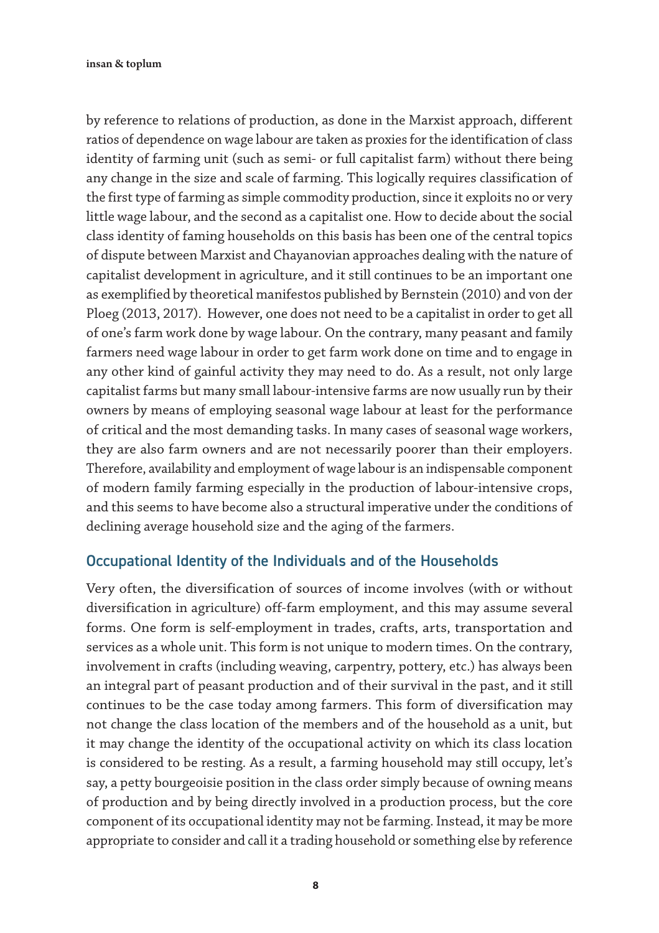by reference to relations of production, as done in the Marxist approach, different ratios of dependence on wage labour are taken as proxies for the identification of class identity of farming unit (such as semi- or full capitalist farm) without there being any change in the size and scale of farming. This logically requires classification of the first type of farming as simple commodity production, since it exploits no or very little wage labour, and the second as a capitalist one. How to decide about the social class identity of faming households on this basis has been one of the central topics of dispute between Marxist and Chayanovian approaches dealing with the nature of capitalist development in agriculture, and it still continues to be an important one as exemplified by theoretical manifestos published by Bernstein (2010) and von der Ploeg (2013, 2017). However, one does not need to be a capitalist in order to get all of one's farm work done by wage labour. On the contrary, many peasant and family farmers need wage labour in order to get farm work done on time and to engage in any other kind of gainful activity they may need to do. As a result, not only large capitalist farms but many small labour-intensive farms are now usually run by their owners by means of employing seasonal wage labour at least for the performance of critical and the most demanding tasks. In many cases of seasonal wage workers, they are also farm owners and are not necessarily poorer than their employers. Therefore, availability and employment of wage labour is an indispensable component of modern family farming especially in the production of labour-intensive crops, and this seems to have become also a structural imperative under the conditions of declining average household size and the aging of the farmers.

# Occupational Identity of the Individuals and of the Households

Very often, the diversification of sources of income involves (with or without diversification in agriculture) off-farm employment, and this may assume several forms. One form is self-employment in trades, crafts, arts, transportation and services as a whole unit. This form is not unique to modern times. On the contrary, involvement in crafts (including weaving, carpentry, pottery, etc.) has always been an integral part of peasant production and of their survival in the past, and it still continues to be the case today among farmers. This form of diversification may not change the class location of the members and of the household as a unit, but it may change the identity of the occupational activity on which its class location is considered to be resting. As a result, a farming household may still occupy, let's say, a petty bourgeoisie position in the class order simply because of owning means of production and by being directly involved in a production process, but the core component of its occupational identity may not be farming. Instead, it may be more appropriate to consider and call it a trading household or something else by reference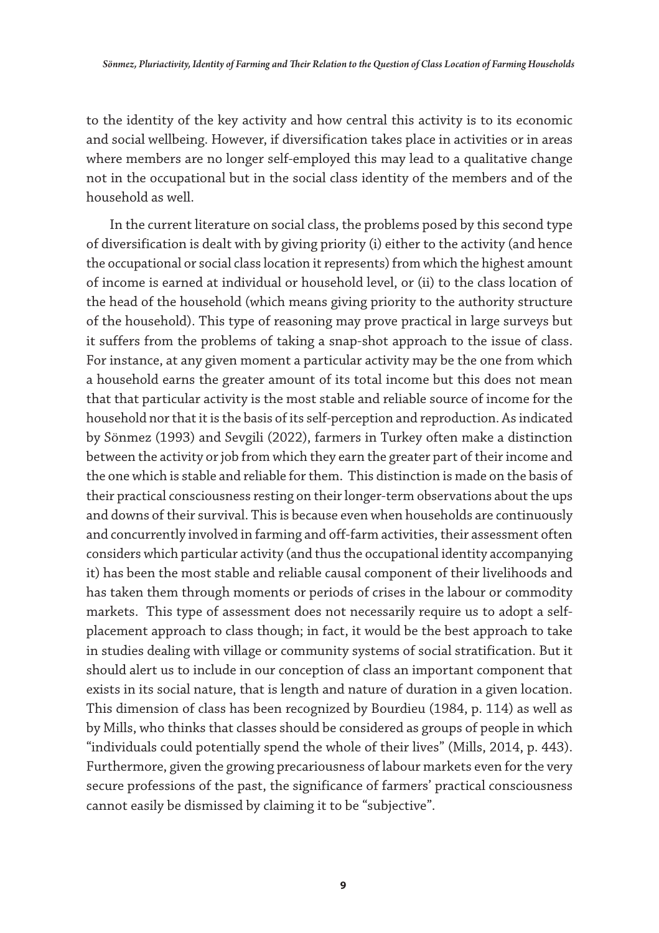to the identity of the key activity and how central this activity is to its economic and social wellbeing. However, if diversification takes place in activities or in areas where members are no longer self-employed this may lead to a qualitative change not in the occupational but in the social class identity of the members and of the household as well.

In the current literature on social class, the problems posed by this second type of diversification is dealt with by giving priority (i) either to the activity (and hence the occupational or social class location it represents) from which the highest amount of income is earned at individual or household level, or (ii) to the class location of the head of the household (which means giving priority to the authority structure of the household). This type of reasoning may prove practical in large surveys but it suffers from the problems of taking a snap-shot approach to the issue of class. For instance, at any given moment a particular activity may be the one from which a household earns the greater amount of its total income but this does not mean that that particular activity is the most stable and reliable source of income for the household nor that it is the basis of its self-perception and reproduction. As indicated by Sönmez (1993) and Sevgili (2022), farmers in Turkey often make a distinction between the activity or job from which they earn the greater part of their income and the one which is stable and reliable for them. This distinction is made on the basis of their practical consciousness resting on their longer-term observations about the ups and downs of their survival. This is because even when households are continuously and concurrently involved in farming and off-farm activities, their assessment often considers which particular activity (and thus the occupational identity accompanying it) has been the most stable and reliable causal component of their livelihoods and has taken them through moments or periods of crises in the labour or commodity markets. This type of assessment does not necessarily require us to adopt a selfplacement approach to class though; in fact, it would be the best approach to take in studies dealing with village or community systems of social stratification. But it should alert us to include in our conception of class an important component that exists in its social nature, that is length and nature of duration in a given location. This dimension of class has been recognized by Bourdieu (1984, p. 114) as well as by Mills, who thinks that classes should be considered as groups of people in which "individuals could potentially spend the whole of their lives" (Mills, 2014, p. 443). Furthermore, given the growing precariousness of labour markets even for the very secure professions of the past, the significance of farmers' practical consciousness cannot easily be dismissed by claiming it to be "subjective".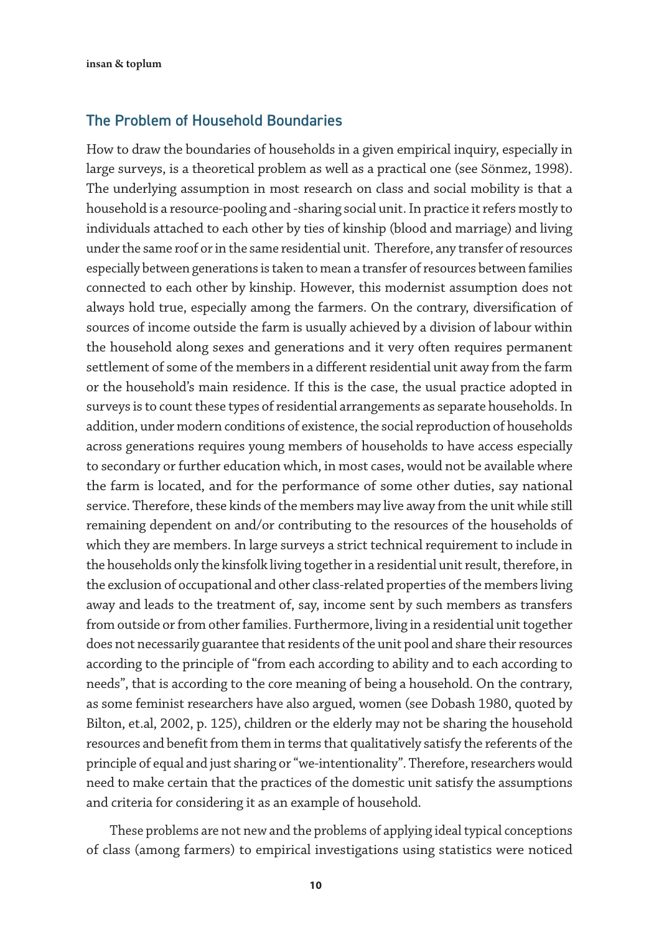#### The Problem of Household Boundaries

How to draw the boundaries of households in a given empirical inquiry, especially in large surveys, is a theoretical problem as well as a practical one (see Sönmez, 1998). The underlying assumption in most research on class and social mobility is that a household is a resource-pooling and -sharing social unit. In practice it refers mostly to individuals attached to each other by ties of kinship (blood and marriage) and living under the same roof or in the same residential unit. Therefore, any transfer of resources especially between generations is taken to mean a transfer of resources between families connected to each other by kinship. However, this modernist assumption does not always hold true, especially among the farmers. On the contrary, diversification of sources of income outside the farm is usually achieved by a division of labour within the household along sexes and generations and it very often requires permanent settlement of some of the members in a different residential unit away from the farm or the household's main residence. If this is the case, the usual practice adopted in surveys is to count these types of residential arrangements as separate households. In addition, under modern conditions of existence, the social reproduction of households across generations requires young members of households to have access especially to secondary or further education which, in most cases, would not be available where the farm is located, and for the performance of some other duties, say national service. Therefore, these kinds of the members may live away from the unit while still remaining dependent on and/or contributing to the resources of the households of which they are members. In large surveys a strict technical requirement to include in the households only the kinsfolk living together in a residential unit result, therefore, in the exclusion of occupational and other class-related properties of the members living away and leads to the treatment of, say, income sent by such members as transfers from outside or from other families. Furthermore, living in a residential unit together does not necessarily guarantee that residents of the unit pool and share their resources according to the principle of "from each according to ability and to each according to needs", that is according to the core meaning of being a household. On the contrary, as some feminist researchers have also argued, women (see Dobash 1980, quoted by Bilton, et.al, 2002, p. 125), children or the elderly may not be sharing the household resources and benefit from them in terms that qualitatively satisfy the referents of the principle of equal and just sharing or "we-intentionality". Therefore, researchers would need to make certain that the practices of the domestic unit satisfy the assumptions and criteria for considering it as an example of household.

These problems are not new and the problems of applying ideal typical conceptions of class (among farmers) to empirical investigations using statistics were noticed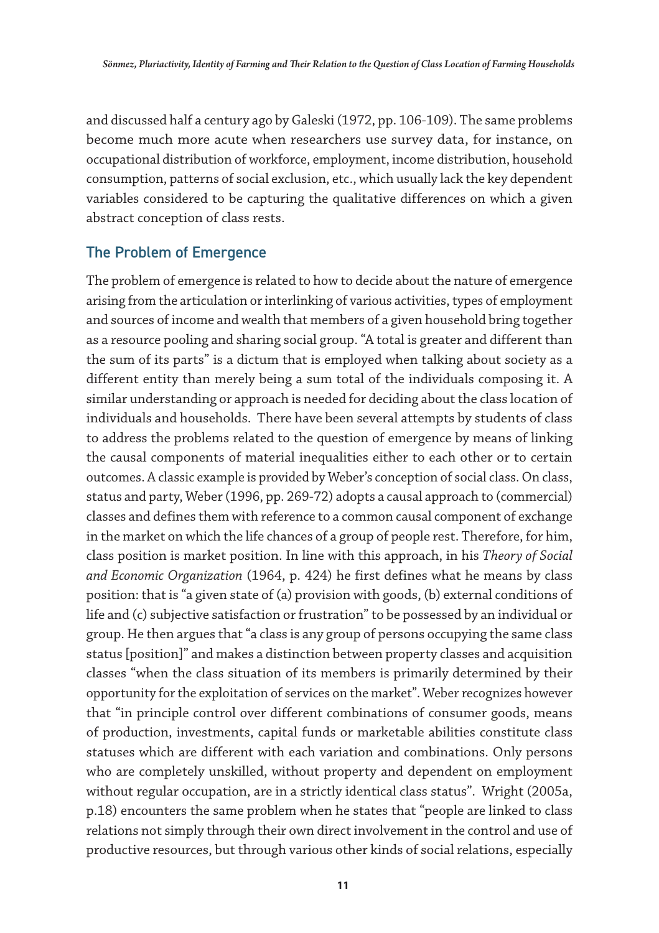and discussed half a century ago by Galeski (1972, pp. 106-109). The same problems become much more acute when researchers use survey data, for instance, on occupational distribution of workforce, employment, income distribution, household consumption, patterns of social exclusion, etc., which usually lack the key dependent variables considered to be capturing the qualitative differences on which a given abstract conception of class rests.

# The Problem of Emergence

The problem of emergence is related to how to decide about the nature of emergence arising from the articulation or interlinking of various activities, types of employment and sources of income and wealth that members of a given household bring together as a resource pooling and sharing social group. "A total is greater and different than the sum of its parts" is a dictum that is employed when talking about society as a different entity than merely being a sum total of the individuals composing it. A similar understanding or approach is needed for deciding about the class location of individuals and households. There have been several attempts by students of class to address the problems related to the question of emergence by means of linking the causal components of material inequalities either to each other or to certain outcomes. A classic example is provided by Weber's conception of social class. On class, status and party, Weber (1996, pp. 269-72) adopts a causal approach to (commercial) classes and defines them with reference to a common causal component of exchange in the market on which the life chances of a group of people rest. Therefore, for him, class position is market position. In line with this approach, in his *Theory of Social and Economic Organization* (1964, p. 424) he first defines what he means by class position: that is "a given state of (a) provision with goods, (b) external conditions of life and (c) subjective satisfaction or frustration" to be possessed by an individual or group. He then argues that "a class is any group of persons occupying the same class status [position]" and makes a distinction between property classes and acquisition classes "when the class situation of its members is primarily determined by their opportunity for the exploitation of services on the market". Weber recognizes however that "in principle control over different combinations of consumer goods, means of production, investments, capital funds or marketable abilities constitute class statuses which are different with each variation and combinations. Only persons who are completely unskilled, without property and dependent on employment without regular occupation, are in a strictly identical class status". Wright (2005a, p.18) encounters the same problem when he states that "people are linked to class relations not simply through their own direct involvement in the control and use of productive resources, but through various other kinds of social relations, especially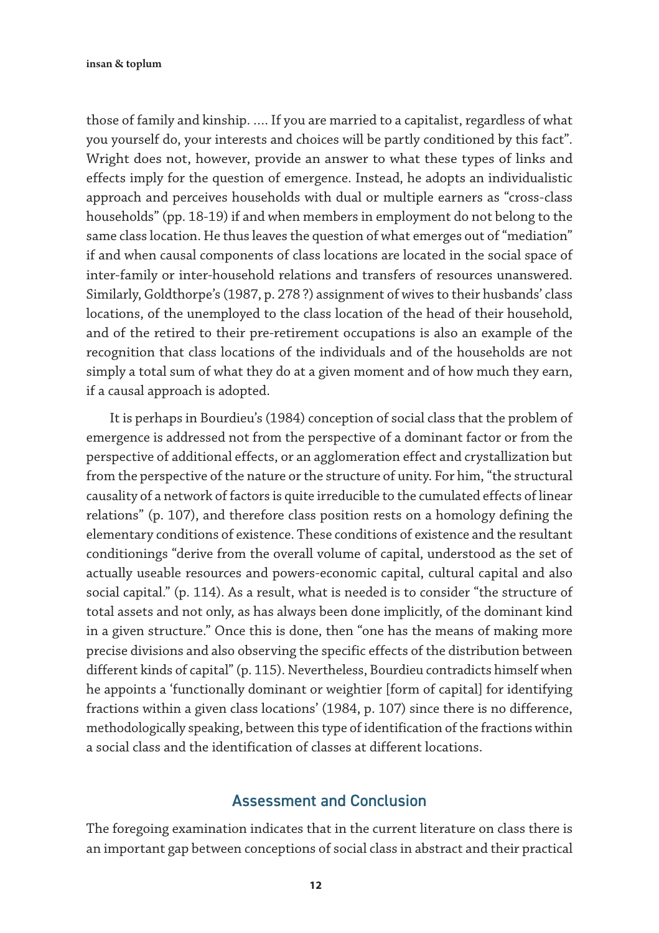those of family and kinship. …. If you are married to a capitalist, regardless of what you yourself do, your interests and choices will be partly conditioned by this fact". Wright does not, however, provide an answer to what these types of links and effects imply for the question of emergence. Instead, he adopts an individualistic approach and perceives households with dual or multiple earners as "cross-class households" (pp. 18-19) if and when members in employment do not belong to the same class location. He thus leaves the question of what emerges out of "mediation" if and when causal components of class locations are located in the social space of inter-family or inter-household relations and transfers of resources unanswered. Similarly, Goldthorpe's (1987, p. 278 ?) assignment of wives to their husbands' class locations, of the unemployed to the class location of the head of their household, and of the retired to their pre-retirement occupations is also an example of the recognition that class locations of the individuals and of the households are not simply a total sum of what they do at a given moment and of how much they earn, if a causal approach is adopted.

It is perhaps in Bourdieu's (1984) conception of social class that the problem of emergence is addressed not from the perspective of a dominant factor or from the perspective of additional effects, or an agglomeration effect and crystallization but from the perspective of the nature or the structure of unity. For him, "the structural causality of a network of factors is quite irreducible to the cumulated effects of linear relations" (p. 107), and therefore class position rests on a homology defining the elementary conditions of existence. These conditions of existence and the resultant conditionings "derive from the overall volume of capital, understood as the set of actually useable resources and powers-economic capital, cultural capital and also social capital." (p. 114). As a result, what is needed is to consider "the structure of total assets and not only, as has always been done implicitly, of the dominant kind in a given structure." Once this is done, then "one has the means of making more precise divisions and also observing the specific effects of the distribution between different kinds of capital" (p. 115). Nevertheless, Bourdieu contradicts himself when he appoints a 'functionally dominant or weightier [form of capital] for identifying fractions within a given class locations' (1984, p. 107) since there is no difference, methodologically speaking, between this type of identification of the fractions within a social class and the identification of classes at different locations.

#### Assessment and Conclusion

The foregoing examination indicates that in the current literature on class there is an important gap between conceptions of social class in abstract and their practical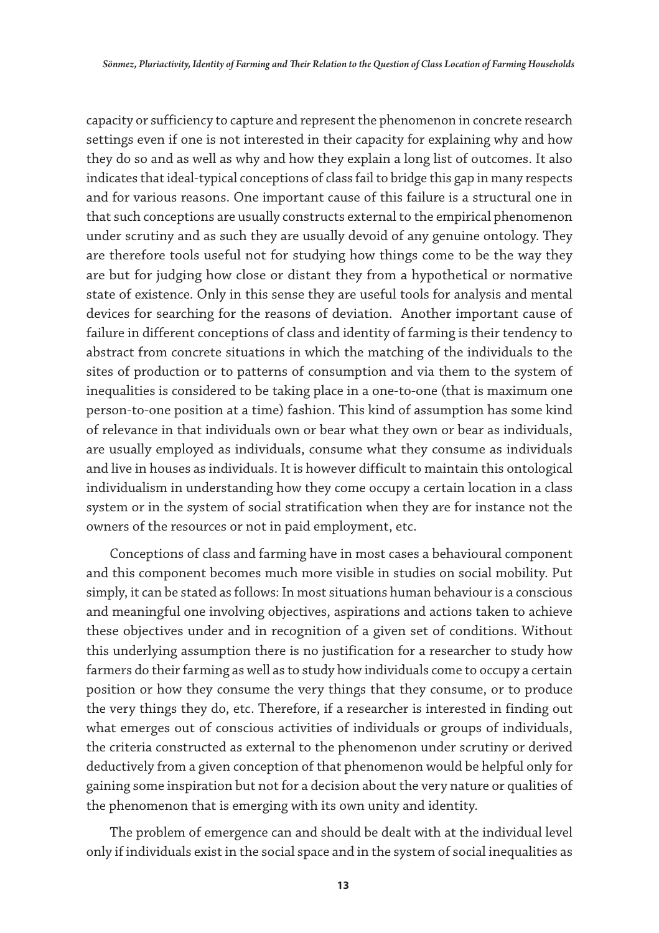capacity or sufficiency to capture and represent the phenomenon in concrete research settings even if one is not interested in their capacity for explaining why and how they do so and as well as why and how they explain a long list of outcomes. It also indicates that ideal-typical conceptions of class fail to bridge this gap in many respects and for various reasons. One important cause of this failure is a structural one in that such conceptions are usually constructs external to the empirical phenomenon under scrutiny and as such they are usually devoid of any genuine ontology. They are therefore tools useful not for studying how things come to be the way they are but for judging how close or distant they from a hypothetical or normative state of existence. Only in this sense they are useful tools for analysis and mental devices for searching for the reasons of deviation. Another important cause of failure in different conceptions of class and identity of farming is their tendency to abstract from concrete situations in which the matching of the individuals to the sites of production or to patterns of consumption and via them to the system of inequalities is considered to be taking place in a one-to-one (that is maximum one person-to-one position at a time) fashion. This kind of assumption has some kind of relevance in that individuals own or bear what they own or bear as individuals, are usually employed as individuals, consume what they consume as individuals and live in houses as individuals. It is however difficult to maintain this ontological individualism in understanding how they come occupy a certain location in a class system or in the system of social stratification when they are for instance not the owners of the resources or not in paid employment, etc.

Conceptions of class and farming have in most cases a behavioural component and this component becomes much more visible in studies on social mobility. Put simply, it can be stated as follows: In most situations human behaviour is a conscious and meaningful one involving objectives, aspirations and actions taken to achieve these objectives under and in recognition of a given set of conditions. Without this underlying assumption there is no justification for a researcher to study how farmers do their farming as well as to study how individuals come to occupy a certain position or how they consume the very things that they consume, or to produce the very things they do, etc. Therefore, if a researcher is interested in finding out what emerges out of conscious activities of individuals or groups of individuals, the criteria constructed as external to the phenomenon under scrutiny or derived deductively from a given conception of that phenomenon would be helpful only for gaining some inspiration but not for a decision about the very nature or qualities of the phenomenon that is emerging with its own unity and identity.

The problem of emergence can and should be dealt with at the individual level only if individuals exist in the social space and in the system of social inequalities as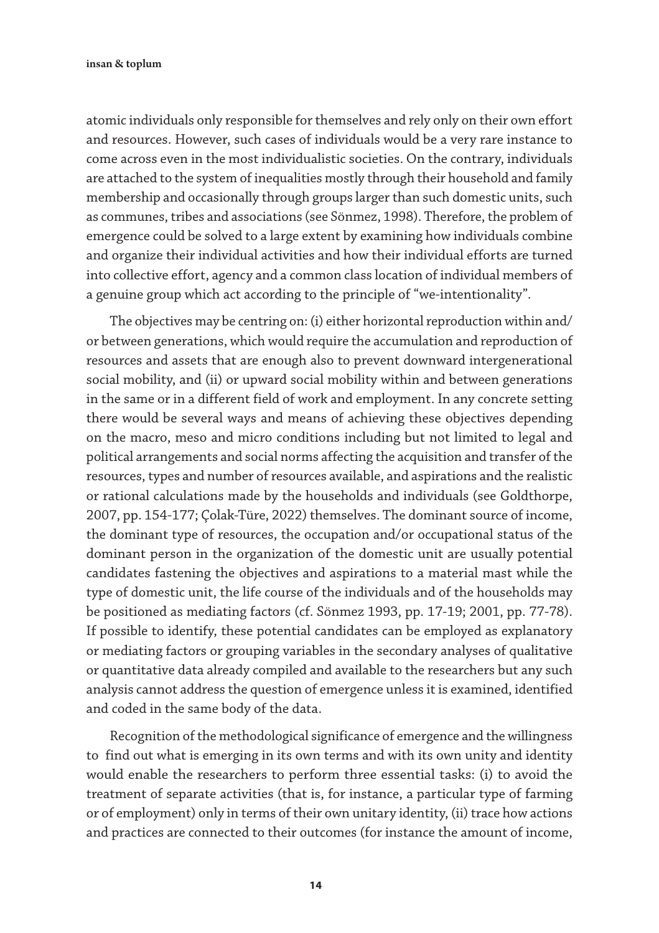atomic individuals only responsible for themselves and rely only on their own effort and resources. However, such cases of individuals would be a very rare instance to come across even in the most individualistic societies. On the contrary, individuals are attached to the system of inequalities mostly through their household and family membership and occasionally through groups larger than such domestic units, such as communes, tribes and associations (see Sönmez, 1998). Therefore, the problem of emergence could be solved to a large extent by examining how individuals combine and organize their individual activities and how their individual efforts are turned into collective effort, agency and a common class location of individual members of a genuine group which act according to the principle of "we-intentionality".

The objectives may be centring on: (i) either horizontal reproduction within and/ or between generations, which would require the accumulation and reproduction of resources and assets that are enough also to prevent downward intergenerational social mobility, and (ii) or upward social mobility within and between generations in the same or in a different field of work and employment. In any concrete setting there would be several ways and means of achieving these objectives depending on the macro, meso and micro conditions including but not limited to legal and political arrangements and social norms affecting the acquisition and transfer of the resources, types and number of resources available, and aspirations and the realistic or rational calculations made by the households and individuals (see Goldthorpe, 2007, pp. 154-177; Çolak-Türe, 2022) themselves. The dominant source of income, the dominant type of resources, the occupation and/or occupational status of the dominant person in the organization of the domestic unit are usually potential candidates fastening the objectives and aspirations to a material mast while the type of domestic unit, the life course of the individuals and of the households may be positioned as mediating factors (cf. Sönmez 1993, pp. 17-19; 2001, pp. 77-78). If possible to identify, these potential candidates can be employed as explanatory or mediating factors or grouping variables in the secondary analyses of qualitative or quantitative data already compiled and available to the researchers but any such analysis cannot address the question of emergence unless it is examined, identified and coded in the same body of the data.

Recognition of the methodological significance of emergence and the willingness to find out what is emerging in its own terms and with its own unity and identity would enable the researchers to perform three essential tasks: (i) to avoid the treatment of separate activities (that is, for instance, a particular type of farming or of employment) only in terms of their own unitary identity, (ii) trace how actions and practices are connected to their outcomes (for instance the amount of income,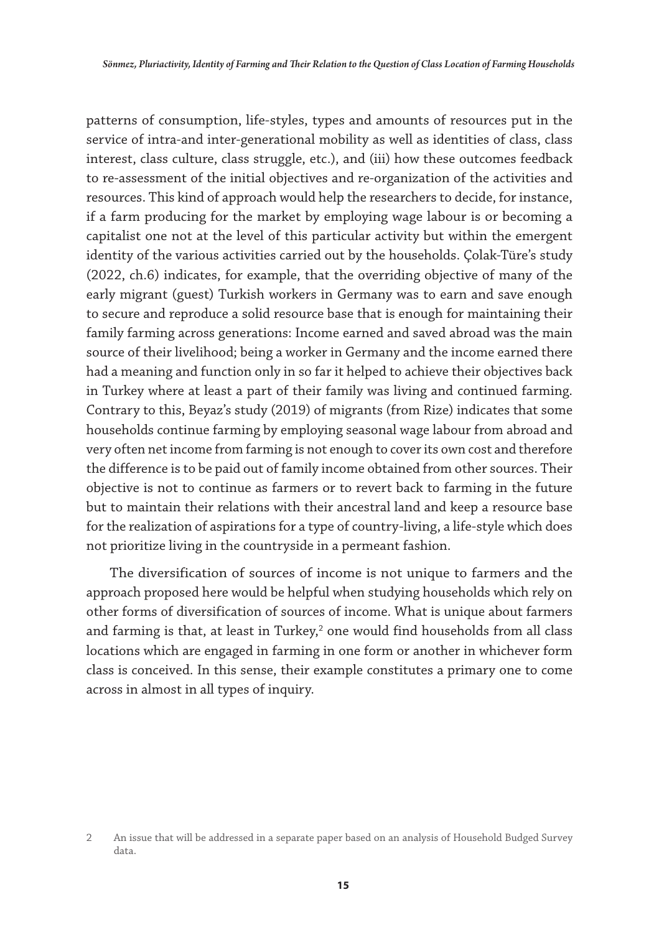patterns of consumption, life-styles, types and amounts of resources put in the service of intra-and inter-generational mobility as well as identities of class, class interest, class culture, class struggle, etc.), and (iii) how these outcomes feedback to re-assessment of the initial objectives and re-organization of the activities and resources. This kind of approach would help the researchers to decide, for instance, if a farm producing for the market by employing wage labour is or becoming a capitalist one not at the level of this particular activity but within the emergent identity of the various activities carried out by the households. Çolak-Türe's study (2022, ch.6) indicates, for example, that the overriding objective of many of the early migrant (guest) Turkish workers in Germany was to earn and save enough to secure and reproduce a solid resource base that is enough for maintaining their family farming across generations: Income earned and saved abroad was the main source of their livelihood; being a worker in Germany and the income earned there had a meaning and function only in so far it helped to achieve their objectives back in Turkey where at least a part of their family was living and continued farming. Contrary to this, Beyaz's study (2019) of migrants (from Rize) indicates that some households continue farming by employing seasonal wage labour from abroad and very often net income from farming is not enough to cover its own cost and therefore the difference is to be paid out of family income obtained from other sources. Their objective is not to continue as farmers or to revert back to farming in the future but to maintain their relations with their ancestral land and keep a resource base for the realization of aspirations for a type of country-living, a life-style which does not prioritize living in the countryside in a permeant fashion.

The diversification of sources of income is not unique to farmers and the approach proposed here would be helpful when studying households which rely on other forms of diversification of sources of income. What is unique about farmers and farming is that, at least in Turkey, $^2$  one would find households from all class locations which are engaged in farming in one form or another in whichever form class is conceived. In this sense, their example constitutes a primary one to come across in almost in all types of inquiry.

<sup>2</sup> An issue that will be addressed in a separate paper based on an analysis of Household Budged Survey data.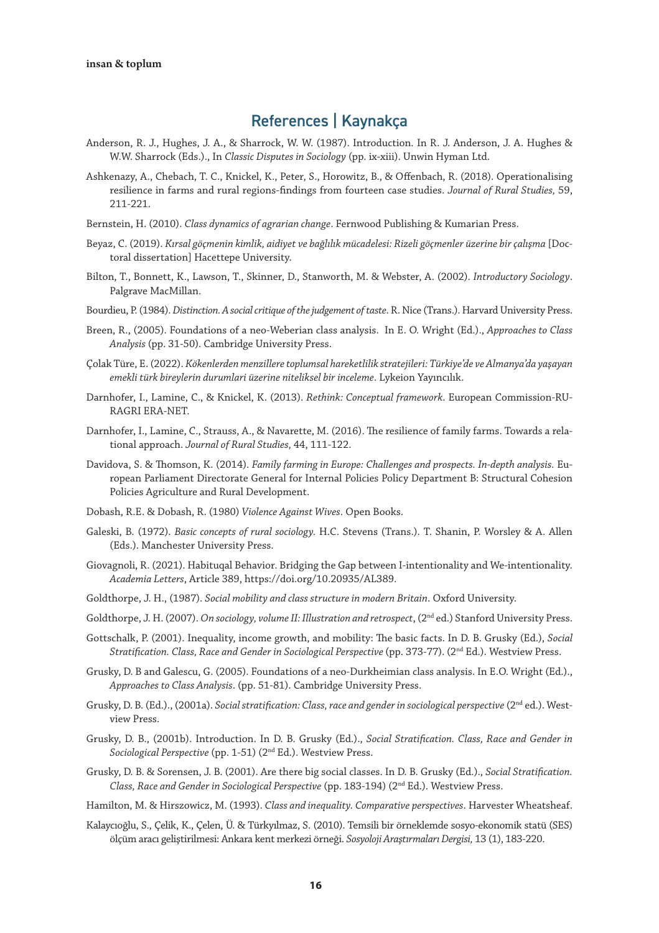# References | Kaynakça

- Anderson, R. J., Hughes, J. A., & Sharrock, W. W. (1987). Introduction. In R. J. Anderson, J. A. Hughes & W.W. Sharrock (Eds.)., In *Classic Disputes in Sociology* (pp. ix-xiii). Unwin Hyman Ltd.
- Ashkenazy, A., Chebach, T. C., Knickel, K., Peter, S., Horowitz, B., & Offenbach, R. (2018). Operationalising resilience in farms and rural regions-findings from fourteen case studies. *Journal of Rural Studies,* 59, 211-221.
- Bernstein, H. (2010). *Class dynamics of agrarian change*. Fernwood Publishing & Kumarian Press.
- Beyaz, C. (2019). *Kırsal göçmenin kimlik, aidiyet ve bağlılık mücadelesi: Rizeli göçmenler üzerine bir çalışma* [Doctoral dissertation] Hacettepe University.
- Bilton, T., Bonnett, K., Lawson, T., Skinner, D., Stanworth, M. & Webster, A. (2002). *Introductory Sociology*. Palgrave MacMillan.
- Bourdieu, P. (1984). *Distinction. A social critique of the judgement of taste*. R. Nice (Trans.). Harvard University Press.
- Breen, R., (2005). Foundations of a neo-Weberian class analysis. In E. O. Wright (Ed.)., *Approaches to Class Analysis* (pp. 31-50). Cambridge University Press.
- Çolak Türe, E. (2022). *Kökenlerden menzillere toplumsal hareketlilik stratejileri: Türkiye'de ve Almanya'da yaşayan emekli türk bireylerin durumlari üzerine niteliksel bir inceleme*. Lykeion Yayıncılık.
- Darnhofer, I., Lamine, C., & Knickel, K. (2013). *Rethink: Conceptual framework*. European Commission-RU-RAGRI ERA-NET.
- Darnhofer, I., Lamine, C., Strauss, A., & Navarette, M. (2016). The resilience of family farms. Towards a relational approach. *Journal of Rural Studies,* 44, 111-122.
- Davidova, S. & Thomson, K. (2014). *Family farming in Europe: Challenges and prospects. In-depth analysis.* European Parliament Directorate General for Internal Policies Policy Department B: Structural Cohesion Policies Agriculture and Rural Development.
- Dobash, R.E. & Dobash, R. (1980) *Violence Against Wives*. Open Books.
- Galeski, B. (1972). *Basic concepts of rural sociology.* H.C. Stevens (Trans.). T. Shanin, P. Worsley & A. Allen (Eds.). Manchester University Press.
- Giovagnoli, R. (2021). Habituqal Behavior. Bridging the Gap between I-intentionality and We-intentionality. *Academia Letters*, Article 389, https://doi.org/10.20935/AL389.
- Goldthorpe, J. H., (1987). *Social mobility and class structure in modern Britain*. Oxford University.
- Goldthorpe, J. H. (2007). *On sociology, volume II: Illustration and retrospect*, (2<sup>nd</sup> ed.) Stanford University Press.
- Gottschalk, P. (2001). Inequality, income growth, and mobility: The basic facts. In D. B. Grusky (Ed.), *Social Stratification. Class, Race and Gender in Sociological Perspective* (pp. 373-77). (2nd Ed.). Westview Press.
- Grusky, D. B and Galescu, G. (2005). Foundations of a neo-Durkheimian class analysis. In E.O. Wright (Ed.)., *Approaches to Class Analysis*. (pp. 51-81). Cambridge University Press.
- Grusky, D. B. (Ed.)., (2001a). *Social stratification: Class, race and gender in sociological perspective* (2<sup>nd</sup> ed.). Westview Press.
- Grusky, D. B., (2001b). Introduction. In D. B. Grusky (Ed.)., *Social Stratification. Class, Race and Gender in Sociological Perspective* (pp. 1-51) (2nd Ed.). Westview Press.
- Grusky, D. B. & Sorensen, J. B. (2001). Are there big social classes. In D. B. Grusky (Ed.)., *Social Stratification. Class, Race and Gender in Sociological Perspective* (pp. 183-194) (2nd Ed.). Westview Press.
- Hamilton, M. & Hirszowicz, M. (1993). *Class and inequality. Comparative perspectives*. Harvester Wheatsheaf.
- Kalaycıoğlu, S., Çelik, K., Çelen, Ü. & Türkyılmaz, S. (2010). Temsili bir örneklemde sosyo-ekonomik statü (SES) ölçüm aracı geliştirilmesi: Ankara kent merkezi örneği. *Sosyoloji Araştırmaları Dergisi,* 13 (1), 183-220.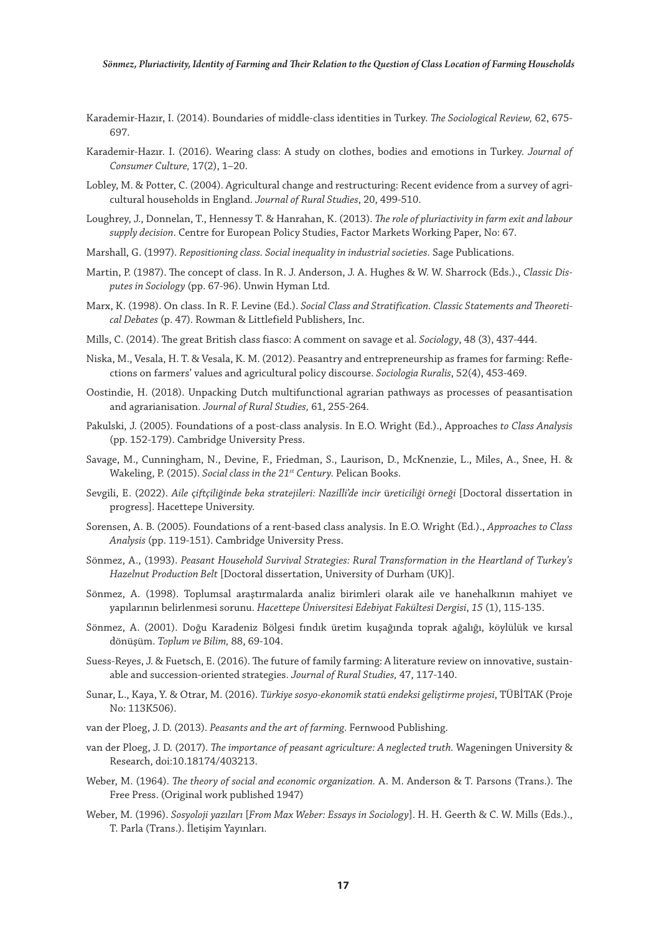- Karademir-Hazır, I. (2014). Boundaries of middle-class identities in Turkey. *The Sociological Review,* 62, 675- 697.
- Karademir-Hazır. I. (2016). Wearing class: A study on clothes, bodies and emotions in Turkey. *Journal of Consumer Culture,* 17(2), 1–20.
- Lobley, M. & Potter, C. (2004). Agricultural change and restructuring: Recent evidence from a survey of agricultural households in England. *Journal of Rural Studies*, 20, 499-510.
- Loughrey, J., Donnelan, T., Hennessy T. & Hanrahan, K. (2013). *The role of pluriactivity in farm exit and labour supply decision*. Centre for European Policy Studies, Factor Markets Working Paper, No: 67.
- Marshall, G. (1997). *Repositioning class. Social inequality in industrial societies.* Sage Publications.
- Martin, P. (1987). The concept of class. In R. J. Anderson, J. A. Hughes & W. W. Sharrock (Eds.)., *Classic Disputes in Sociology* (pp. 67-96). Unwin Hyman Ltd.
- Marx, K. (1998). On class. In R. F. Levine (Ed.). *Social Class and Stratification. Classic Statements and Theoretical Debates* (p. 47). Rowman & Littlefield Publishers, Inc.
- Mills, C. (2014). The great British class fiasco: A comment on savage et al. *Sociology*, 48 (3), 437-444.
- Niska, M., Vesala, H. T. & Vesala, K. M. (2012). Peasantry and entrepreneurship as frames for farming: Reflections on farmers' values and agricultural policy discourse. *Sociologia Ruralis*, 52(4), 453-469.
- Oostindie, H. (2018). Unpacking Dutch multifunctional agrarian pathways as processes of peasantisation and agrarianisation. *Journal of Rural Studies,* 61, 255-264.
- Pakulski, J. (2005). Foundations of a post-class analysis. In E.O. Wright (Ed.)., Approaches *to Class Analysis* (pp. 152-179). Cambridge University Press.
- Savage, M., Cunningham, N., Devine, F., Friedman, S., Laurison, D., McKnenzie, L., Miles, A., Snee, H. & Wakeling, P. (2015). *Social class in the 21st Century.* Pelican Books.
- Sevgili, E. (2022). *Aile* ç*iftçiliğinde beka stratejileri: Nazilli'de incir* ü*reticiliği* ö*rneği* [Doctoral dissertation in progress]. Hacettepe University.
- Sorensen, A. B. (2005). Foundations of a rent-based class analysis. In E.O. Wright (Ed.)., *Approaches to Class Analysis* (pp. 119-151). Cambridge University Press.
- Sönmez, A., (1993). *Peasant Household Survival Strategies: Rural Transformation in the Heartland of Turkey's Hazelnut Production Belt* [Doctoral dissertation, University of Durham (UK)].
- Sönmez, A. (1998). Toplumsal araştırmalarda analiz birimleri olarak aile ve hanehalkının mahiyet ve yapılarının belirlenmesi sorunu. *Hacettepe Üniversitesi Edebiyat Fakültesi Dergisi*, *15* (1), 115-135.
- Sönmez, A. (2001). Doğu Karadeniz Bölgesi fındık üretim kuşağında toprak ağalığı, köylülük ve kırsal dönüşüm. *Toplum ve Bilim,* 88, 69-104.
- Suess-Reyes, J. & Fuetsch, E. (2016). The future of family farming: A literature review on innovative, sustainable and succession-oriented strategies. *Journal of Rural Studies,* 47, 117-140.
- Sunar, L., Kaya, Y. & Otrar, M. (2016). *Türkiye sosyo-ekonomik statü endeksi geliştirme projesi*, TÜBİTAK (Proje No: 113K506).
- van der Ploeg, J. D. (2013). *Peasants and the art of farming*. Fernwood Publishing.
- van der Ploeg, J. D. (2017). *The importance of peasant agriculture: A neglected truth.* Wageningen University & Research, doi:10.18174/403213.
- Weber, M. (1964). *The theory of social and economic organization.* A. M. Anderson & T. Parsons (Trans.). The Free Press. (Original work published 1947)
- Weber, M. (1996). *Sosyoloji yazıları* [*From Max Weber: Essays in Sociology*]. H. H. Geerth & C. W. Mills (Eds.)., T. Parla (Trans.). İletişim Yayınları.